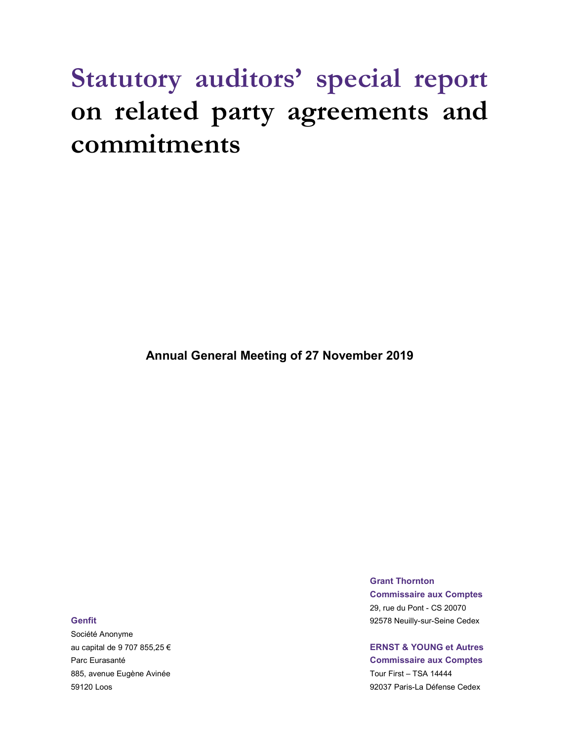# Statutory auditors' special report on related party agreements and commitments

Annual General Meeting of 27 November 2019

Société Anonyme au capital de 9 707 855,25 € ERNST & YOUNG et Autres 885, avenue Eugène Avinée **The Contract entre la contract de la contract de la contract de la contract de la contract de la contract de la contract de la contract de la contract de la contract de la contract de la contract** 

Grant Thornton Commissaire aux Comptes 29, rue du Pont - CS 20070 Genfit **Guarantee Community-Seine Cedex Community-Seine Cedex Community-Seine Cedex Community-Seine Cedex** 

Parc Eurasanté Commissaire aux Comptes

59120 Loos 92037 Paris-La Défense Cedex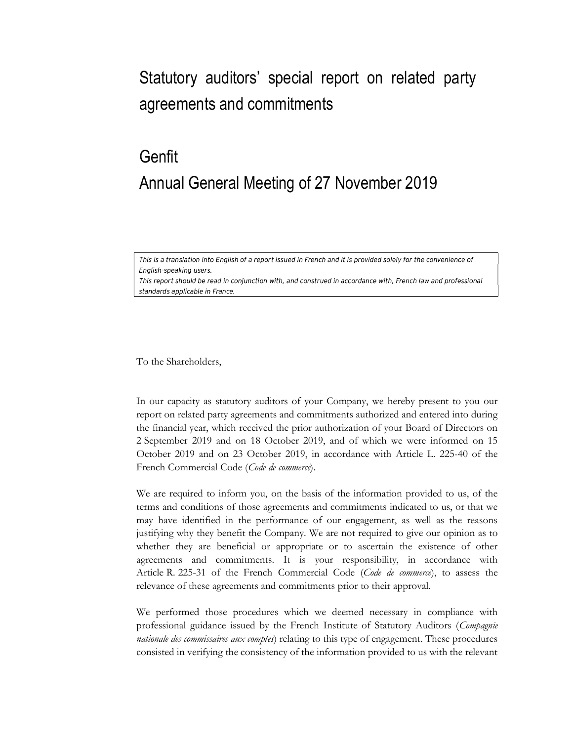### Statutory auditors' special report on related party agreements and commitments

## Genfit Annual General Meeting of 27 November 2019

This is a translation into English of a report issued in French and it is provided solely for the convenience of English-speaking users.

This report should be read in conjunction with, and construed in accordance with, French law and professional standards applicable in France.

To the Shareholders,

In our capacity as statutory auditors of your Company, we hereby present to you our report on related party agreements and commitments authorized and entered into during the financial year, which received the prior authorization of your Board of Directors on 2 September 2019 and on 18 October 2019, and of which we were informed on 15 October 2019 and on 23 October 2019, in accordance with Article L. 225-40 of the French Commercial Code (Code de commerce).

We are required to inform you, on the basis of the information provided to us, of the terms and conditions of those agreements and commitments indicated to us, or that we may have identified in the performance of our engagement, as well as the reasons justifying why they benefit the Company. We are not required to give our opinion as to whether they are beneficial or appropriate or to ascertain the existence of other agreements and commitments. It is your responsibility, in accordance with Article R. 225-31 of the French Commercial Code (Code de commerce), to assess the relevance of these agreements and commitments prior to their approval.

We performed those procedures which we deemed necessary in compliance with professional guidance issued by the French Institute of Statutory Auditors (Compagnie nationale des commissaires aux comptes) relating to this type of engagement. These procedures consisted in verifying the consistency of the information provided to us with the relevant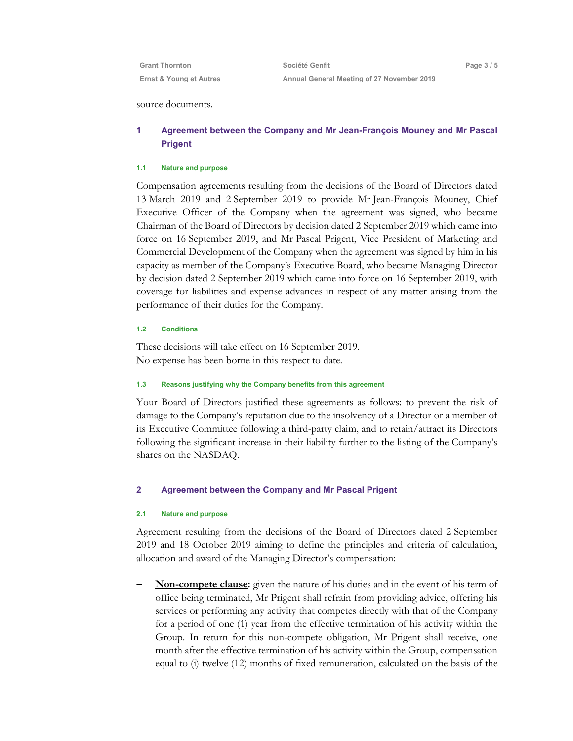| <b>Grant Thornton</b>   | Société Genfit                             |
|-------------------------|--------------------------------------------|
| Ernst & Young et Autres | Annual General Meeting of 27 November 2019 |

Page 3 / 5

#### source documents.

### 1 Agreement between the Company and Mr Jean-François Mouney and Mr Pascal Prigent

#### 1.1 Nature and purpose

Compensation agreements resulting from the decisions of the Board of Directors dated 13 March 2019 and 2 September 2019 to provide Mr Jean-François Mouney, Chief Executive Officer of the Company when the agreement was signed, who became Chairman of the Board of Directors by decision dated 2 September 2019 which came into force on 16 September 2019, and Mr Pascal Prigent, Vice President of Marketing and Commercial Development of the Company when the agreement was signed by him in his capacity as member of the Company's Executive Board, who became Managing Director by decision dated 2 September 2019 which came into force on 16 September 2019, with coverage for liabilities and expense advances in respect of any matter arising from the performance of their duties for the Company.

#### 1.2 Conditions

These decisions will take effect on 16 September 2019. No expense has been borne in this respect to date.

#### 1.3 Reasons justifying why the Company benefits from this agreement

Your Board of Directors justified these agreements as follows: to prevent the risk of damage to the Company's reputation due to the insolvency of a Director or a member of its Executive Committee following a third-party claim, and to retain/attract its Directors following the significant increase in their liability further to the listing of the Company's shares on the NASDAQ.

#### 2 Agreement between the Company and Mr Pascal Prigent

#### 2.1 Nature and purpose

Agreement resulting from the decisions of the Board of Directors dated 2 September 2019 and 18 October 2019 aiming to define the principles and criteria of calculation, allocation and award of the Managing Director's compensation:

 Non-compete clause: given the nature of his duties and in the event of his term of office being terminated, Mr Prigent shall refrain from providing advice, offering his services or performing any activity that competes directly with that of the Company for a period of one (1) year from the effective termination of his activity within the Group. In return for this non-compete obligation, Mr Prigent shall receive, one month after the effective termination of his activity within the Group, compensation equal to (i) twelve (12) months of fixed remuneration, calculated on the basis of the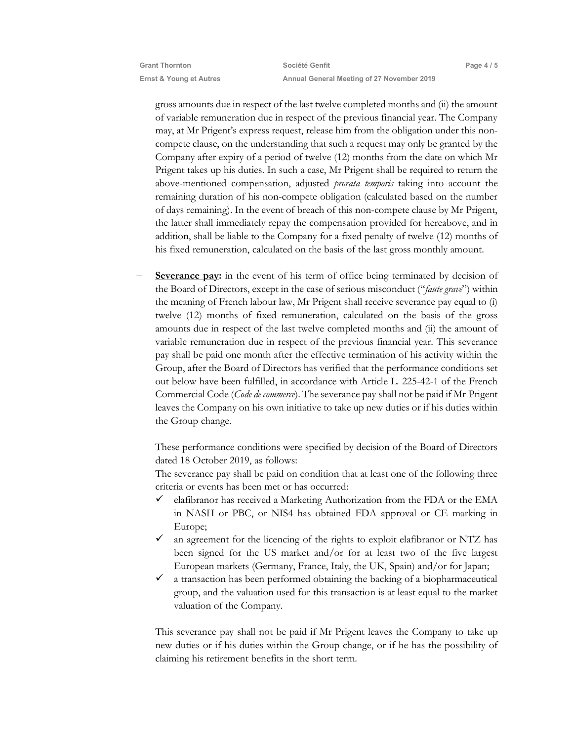gross amounts due in respect of the last twelve completed months and (ii) the amount of variable remuneration due in respect of the previous financial year. The Company may, at Mr Prigent's express request, release him from the obligation under this noncompete clause, on the understanding that such a request may only be granted by the Company after expiry of a period of twelve (12) months from the date on which Mr Prigent takes up his duties. In such a case, Mr Prigent shall be required to return the above-mentioned compensation, adjusted prorata temporis taking into account the remaining duration of his non-compete obligation (calculated based on the number of days remaining). In the event of breach of this non-compete clause by Mr Prigent, the latter shall immediately repay the compensation provided for hereabove, and in addition, shall be liable to the Company for a fixed penalty of twelve (12) months of his fixed remuneration, calculated on the basis of the last gross monthly amount.

Severance pay: in the event of his term of office being terminated by decision of the Board of Directors, except in the case of serious misconduct ("faute grave") within the meaning of French labour law, Mr Prigent shall receive severance pay equal to (i) twelve (12) months of fixed remuneration, calculated on the basis of the gross amounts due in respect of the last twelve completed months and (ii) the amount of variable remuneration due in respect of the previous financial year. This severance pay shall be paid one month after the effective termination of his activity within the Group, after the Board of Directors has verified that the performance conditions set out below have been fulfilled, in accordance with Article L. 225-42-1 of the French Commercial Code (Code de commerce). The severance pay shall not be paid if Mr Prigent leaves the Company on his own initiative to take up new duties or if his duties within the Group change.

These performance conditions were specified by decision of the Board of Directors dated 18 October 2019, as follows:

The severance pay shall be paid on condition that at least one of the following three criteria or events has been met or has occurred:

- $\checkmark$  elafibranor has received a Marketing Authorization from the FDA or the EMA in NASH or PBC, or NIS4 has obtained FDA approval or CE marking in Europe;
- an agreement for the licencing of the rights to exploit elafibranor or NTZ has been signed for the US market and/or for at least two of the five largest European markets (Germany, France, Italy, the UK, Spain) and/or for Japan;
- $\checkmark$  a transaction has been performed obtaining the backing of a biopharmaceutical group, and the valuation used for this transaction is at least equal to the market valuation of the Company.

This severance pay shall not be paid if Mr Prigent leaves the Company to take up new duties or if his duties within the Group change, or if he has the possibility of claiming his retirement benefits in the short term.